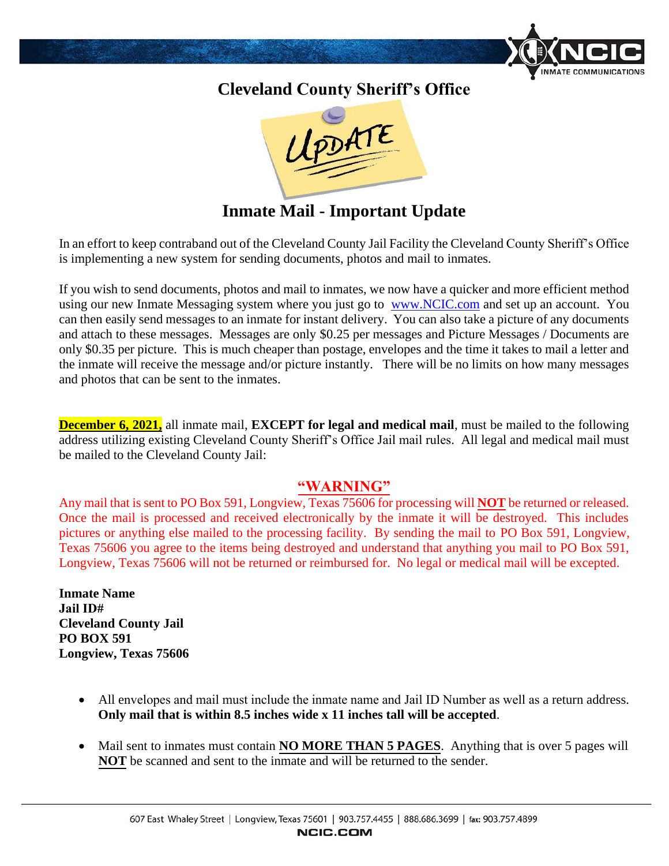

## **Cleveland County Sheriff's Office**



**Inmate Mail - Important Update**

In an effort to keep contraband out of the Cleveland County Jail Facility the Cleveland County Sheriff's Office is implementing a new system for sending documents, photos and mail to inmates.

If you wish to send documents, photos and mail to inmates, we now have a quicker and more efficient method using our new Inmate Messaging system where you just go to [www.NCIC.com](http://www.ncic.com/) and set up an account. You can then easily send messages to an inmate for instant delivery. You can also take a picture of any documents and attach to these messages. Messages are only \$0.25 per messages and Picture Messages / Documents are only \$0.35 per picture. This is much cheaper than postage, envelopes and the time it takes to mail a letter and the inmate will receive the message and/or picture instantly. There will be no limits on how many messages and photos that can be sent to the inmates.

**December 6, 2021,** all inmate mail, **EXCEPT for legal and medical mail**, must be mailed to the following address utilizing existing Cleveland County Sheriff's Office Jail mail rules. All legal and medical mail must be mailed to the Cleveland County Jail:

## **"WARNING"**

Any mail that is sent to PO Box 591, Longview, Texas 75606 for processing will **NOT** be returned or released. Once the mail is processed and received electronically by the inmate it will be destroyed. This includes pictures or anything else mailed to the processing facility. By sending the mail to PO Box 591, Longview, Texas 75606 you agree to the items being destroyed and understand that anything you mail to PO Box 591, Longview, Texas 75606 will not be returned or reimbursed for. No legal or medical mail will be excepted.

**Inmate Name Jail ID# Cleveland County Jail PO BOX 591 Longview, Texas 75606** 

- All envelopes and mail must include the inmate name and Jail ID Number as well as a return address. **Only mail that is within 8.5 inches wide x 11 inches tall will be accepted**.
- Mail sent to inmates must contain **NO MORE THAN 5 PAGES**. Anything that is over 5 pages will **NOT** be scanned and sent to the inmate and will be returned to the sender.